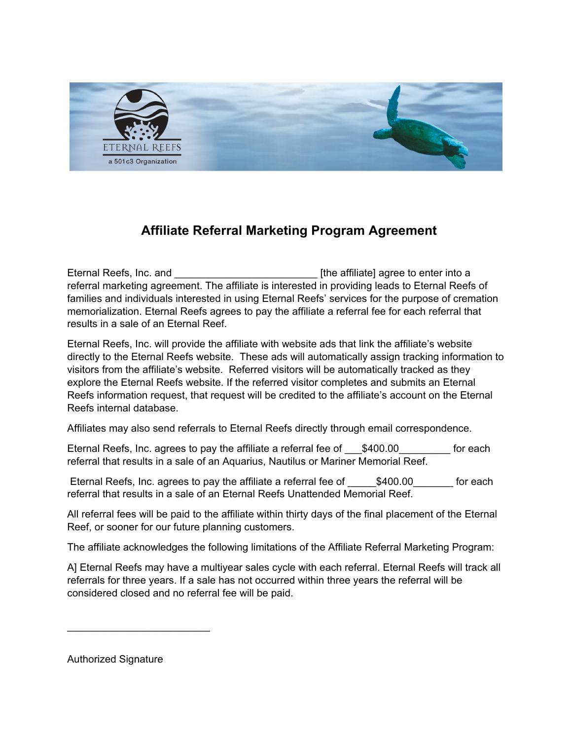

## **Affiliate Referral Marketing Program Agreement**

Eternal Reefs, Inc. and **Eternal Reefs, Inc. and Eternal Reefs**, Inc. and referral marketing agreement. The affiliate is interested in providing leads to Eternal Reefs of families and individuals interested in using Eternal Reefs' services for the purpose of cremation memorialization. Eternal Reefs agrees to pay the affiliate a referral fee for each referral that results in a sale of an Eternal Reef.

Eternal Reefs, Inc. will provide the affiliate with website ads that link the affiliate's website directly to the Eternal Reefs website. These ads will automatically assign tracking information to visitors from the affiliate's website. Referred visitors will be automatically tracked as they explore the Eternal Reefs website. If the referred visitor completes and submits an Eternal Reefs information request, that request will be credited to the affiliate's account on the Eternal Reefs internal database.

Affiliates may also send referrals to Eternal Reefs directly through email correspondence.

Eternal Reefs, Inc. agrees to pay the affiliate a referral fee of  $$400.00$  for each referral that results in a sale of an Aquarius, Nautilus or Mariner Memorial Reef.

Eternal Reefs, Inc. agrees to pay the affiliate a referral fee of  $$400.00$  for each referral that results in a sale of an Eternal Reefs Unattended Memorial Reef.

All referral fees will be paid to the affiliate within thirty days of the final placement of the Eternal Reef, or sooner for our future planning customers.

The affiliate acknowledges the following limitations of the Affiliate Referral Marketing Program:

A] Eternal Reefs may have a multiyear sales cycle with each referral. Eternal Reefs will track all referrals for three years. If a sale has not occurred within three years the referral will be considered closed and no referral fee will be paid.

Authorized Signature

 $\mathcal{L}_\text{max}$  , where  $\mathcal{L}_\text{max}$  and  $\mathcal{L}_\text{max}$